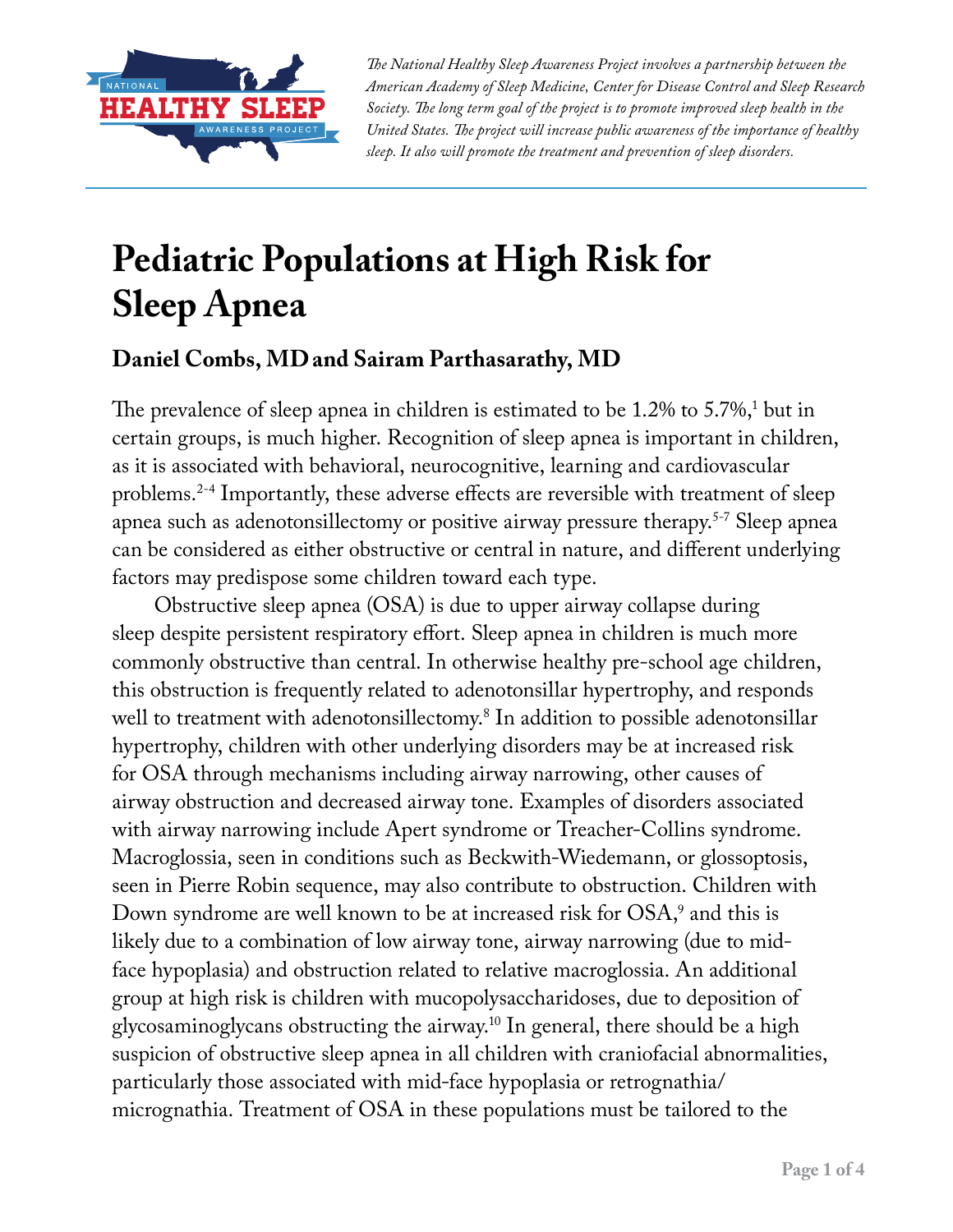

*The National Healthy Sleep Awareness Project involves a partnership between the American Academy of Sleep Medicine, Center for Disease Control and Sleep Research Society. The long term goal of the project is to promote improved sleep health in the United States. The project will increase public awareness of the importance of healthy sleep. It also will promote the treatment and prevention of sleep disorders.*

## **Pediatric Populations at High Risk for Sleep Apnea**

## **Daniel Combs, MDand Sairam Parthasarathy, MD**

The prevalence of sleep apnea in children is estimated to be  $1.2\%$  to  $5.7\%,^1$  but in certain groups, is much higher. Recognition of sleep apnea is important in children, as it is associated with behavioral, neurocognitive, learning and cardiovascular problems.2-4 Importantly, these adverse effects are reversible with treatment of sleep apnea such as adenotonsillectomy or positive airway pressure therapy.5-7 Sleep apnea can be considered as either obstructive or central in nature, and different underlying factors may predispose some children toward each type.

Obstructive sleep apnea (OSA) is due to upper airway collapse during sleep despite persistent respiratory effort. Sleep apnea in children is much more commonly obstructive than central. In otherwise healthy pre-school age children, this obstruction is frequently related to adenotonsillar hypertrophy, and responds well to treatment with adenotonsillectomy.8 In addition to possible adenotonsillar hypertrophy, children with other underlying disorders may be at increased risk for OSA through mechanisms including airway narrowing, other causes of airway obstruction and decreased airway tone. Examples of disorders associated with airway narrowing include Apert syndrome or Treacher-Collins syndrome. Macroglossia, seen in conditions such as Beckwith-Wiedemann, or glossoptosis, seen in Pierre Robin sequence, may also contribute to obstruction. Children with Down syndrome are well known to be at increased risk for  $OSA,^9$  and this is likely due to a combination of low airway tone, airway narrowing (due to midface hypoplasia) and obstruction related to relative macroglossia. An additional group at high risk is children with mucopolysaccharidoses, due to deposition of glycosaminoglycans obstructing the airway.10 In general, there should be a high suspicion of obstructive sleep apnea in all children with craniofacial abnormalities, particularly those associated with mid-face hypoplasia or retrognathia/ micrognathia. Treatment of OSA in these populations must be tailored to the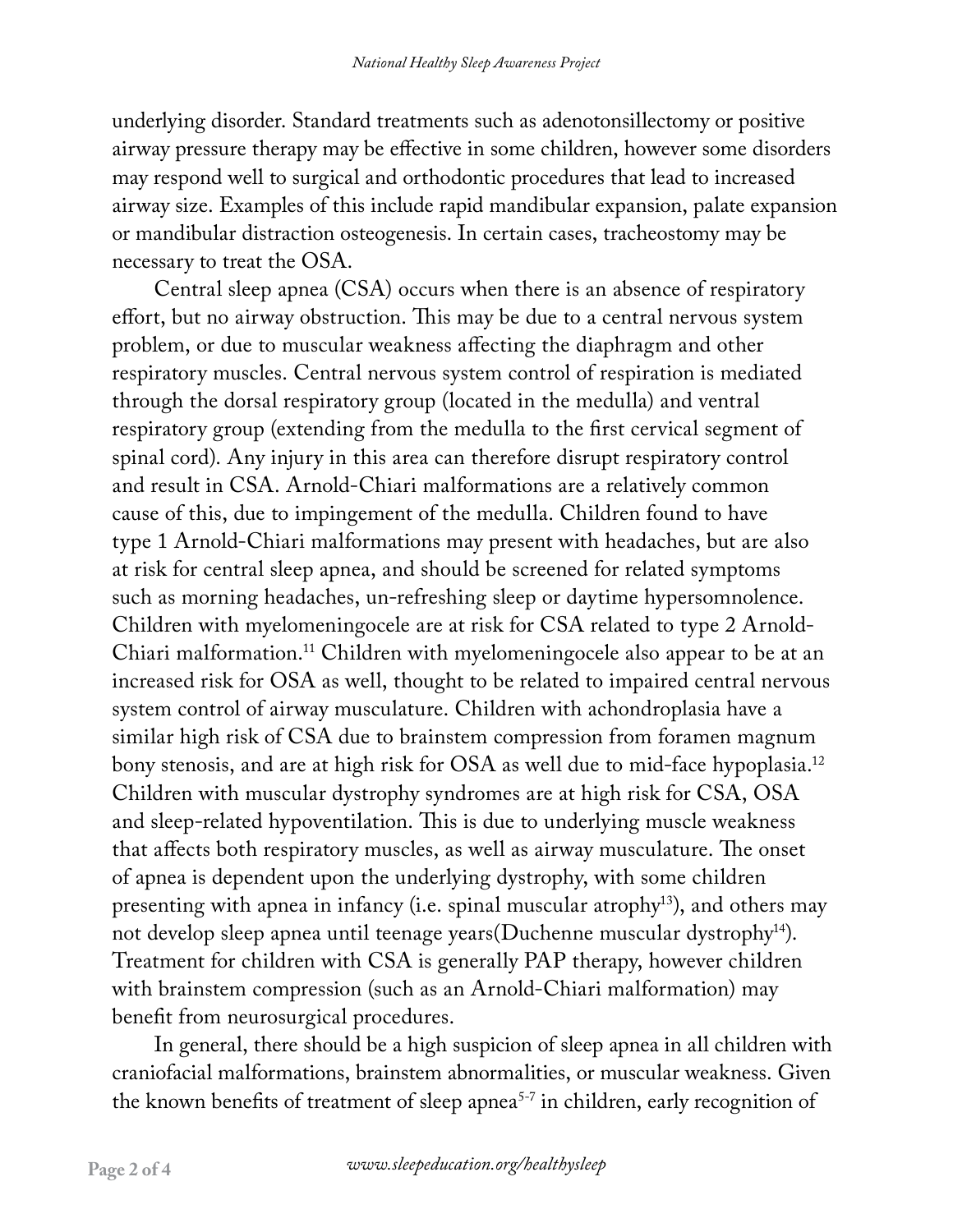underlying disorder. Standard treatments such as adenotonsillectomy or positive airway pressure therapy may be effective in some children, however some disorders may respond well to surgical and orthodontic procedures that lead to increased airway size. Examples of this include rapid mandibular expansion, palate expansion or mandibular distraction osteogenesis. In certain cases, tracheostomy may be necessary to treat the OSA.

Central sleep apnea (CSA) occurs when there is an absence of respiratory effort, but no airway obstruction. This may be due to a central nervous system problem, or due to muscular weakness affecting the diaphragm and other respiratory muscles. Central nervous system control of respiration is mediated through the dorsal respiratory group (located in the medulla) and ventral respiratory group (extending from the medulla to the first cervical segment of spinal cord). Any injury in this area can therefore disrupt respiratory control and result in CSA. Arnold-Chiari malformations are a relatively common cause of this, due to impingement of the medulla. Children found to have type 1 Arnold-Chiari malformations may present with headaches, but are also at risk for central sleep apnea, and should be screened for related symptoms such as morning headaches, un-refreshing sleep or daytime hypersomnolence. Children with myelomeningocele are at risk for CSA related to type 2 Arnold-Chiari malformation.11 Children with myelomeningocele also appear to be at an increased risk for OSA as well, thought to be related to impaired central nervous system control of airway musculature. Children with achondroplasia have a similar high risk of CSA due to brainstem compression from foramen magnum bony stenosis, and are at high risk for OSA as well due to mid-face hypoplasia.<sup>12</sup> Children with muscular dystrophy syndromes are at high risk for CSA, OSA and sleep-related hypoventilation. This is due to underlying muscle weakness that affects both respiratory muscles, as well as airway musculature. The onset of apnea is dependent upon the underlying dystrophy, with some children presenting with apnea in infancy (i.e. spinal muscular atrophy13), and others may not develop sleep apnea until teenage years(Duchenne muscular dystrophy<sup>14</sup>). Treatment for children with CSA is generally PAP therapy, however children with brainstem compression (such as an Arnold-Chiari malformation) may benefit from neurosurgical procedures.

In general, there should be a high suspicion of sleep apnea in all children with craniofacial malformations, brainstem abnormalities, or muscular weakness. Given the known benefits of treatment of sleep apnea<sup>5-7</sup> in children, early recognition of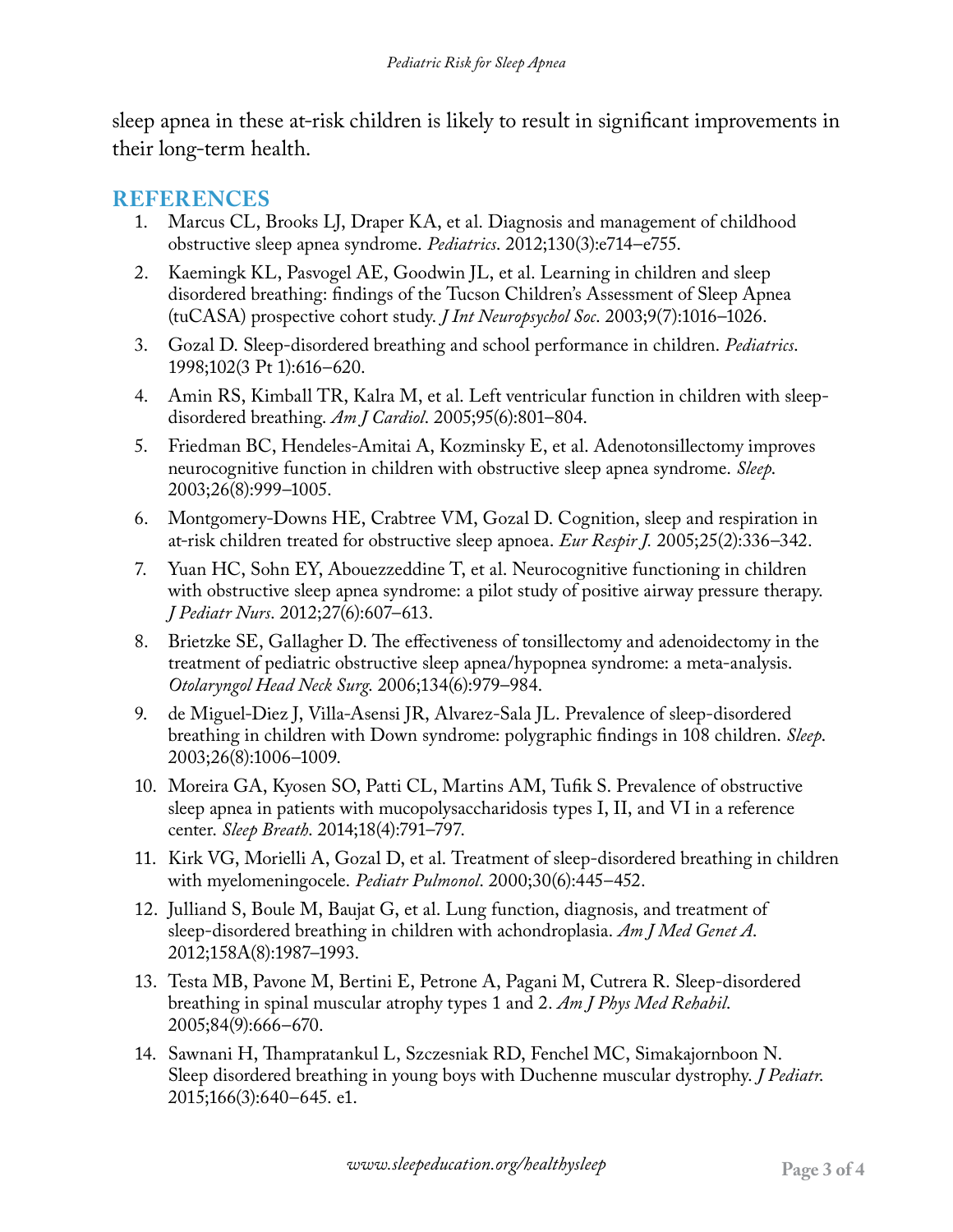sleep apnea in these at-risk children is likely to result in significant improvements in their long-term health.

## **REFERENCES**

- 1. Marcus CL, Brooks LJ, Draper KA, et al. Diagnosis and management of childhood obstructive sleep apnea syndrome. *Pediatrics*. 2012;130(3):e714–e755.
- 2. Kaemingk KL, Pasvogel AE, Goodwin JL, et al. Learning in children and sleep disordered breathing: findings of the Tucson Children's Assessment of Sleep Apnea (tuCASA) prospective cohort study. *J Int Neuropsychol Soc*. 2003;9(7):1016–1026.
- 3. Gozal D. Sleep-disordered breathing and school performance in children. *Pediatrics*. 1998;102(3 Pt 1):616–620.
- 4. Amin RS, Kimball TR, Kalra M, et al. Left ventricular function in children with sleepdisordered breathing. *Am J Cardiol*. 2005;95(6):801–804.
- 5. Friedman BC, Hendeles-Amitai A, Kozminsky E, et al. Adenotonsillectomy improves neurocognitive function in children with obstructive sleep apnea syndrome. *Sleep*. 2003;26(8):999–1005.
- 6. Montgomery-Downs HE, Crabtree VM, Gozal D. Cognition, sleep and respiration in at-risk children treated for obstructive sleep apnoea. *Eur Respir J.* 2005;25(2):336–342.
- 7. Yuan HC, Sohn EY, Abouezzeddine T, et al. Neurocognitive functioning in children with obstructive sleep apnea syndrome: a pilot study of positive airway pressure therapy. *J Pediatr Nurs*. 2012;27(6):607–613.
- 8. Brietzke SE, Gallagher D. The effectiveness of tonsillectomy and adenoidectomy in the treatment of pediatric obstructive sleep apnea/hypopnea syndrome: a meta-analysis. *Otolaryngol Head Neck Surg*. 2006;134(6):979–984.
- 9. de Miguel-Diez J, Villa-Asensi JR, Alvarez-Sala JL. Prevalence of sleep-disordered breathing in children with Down syndrome: polygraphic findings in 108 children. *Sleep*. 2003;26(8):1006–1009.
- 10. Moreira GA, Kyosen SO, Patti CL, Martins AM, Tufik S. Prevalence of obstructive sleep apnea in patients with mucopolysaccharidosis types I, II, and VI in a reference center. *Sleep Breath*. 2014;18(4):791–797.
- 11. Kirk VG, Morielli A, Gozal D, et al. Treatment of sleep-disordered breathing in children with myelomeningocele. *Pediatr Pulmonol*. 2000;30(6):445–452.
- 12. Julliand S, Boule M, Baujat G, et al. Lung function, diagnosis, and treatment of sleep-disordered breathing in children with achondroplasia. *Am J Med Genet A*. 2012;158A(8):1987–1993.
- 13. Testa MB, Pavone M, Bertini E, Petrone A, Pagani M, Cutrera R. Sleep-disordered breathing in spinal muscular atrophy types 1 and 2. *Am J Phys Med Rehabil*. 2005;84(9):666–670.
- 14. Sawnani H, Thampratankul L, Szczesniak RD, Fenchel MC, Simakajornboon N. Sleep disordered breathing in young boys with Duchenne muscular dystrophy. *J Pediatr*. 2015;166(3):640–645. e1.